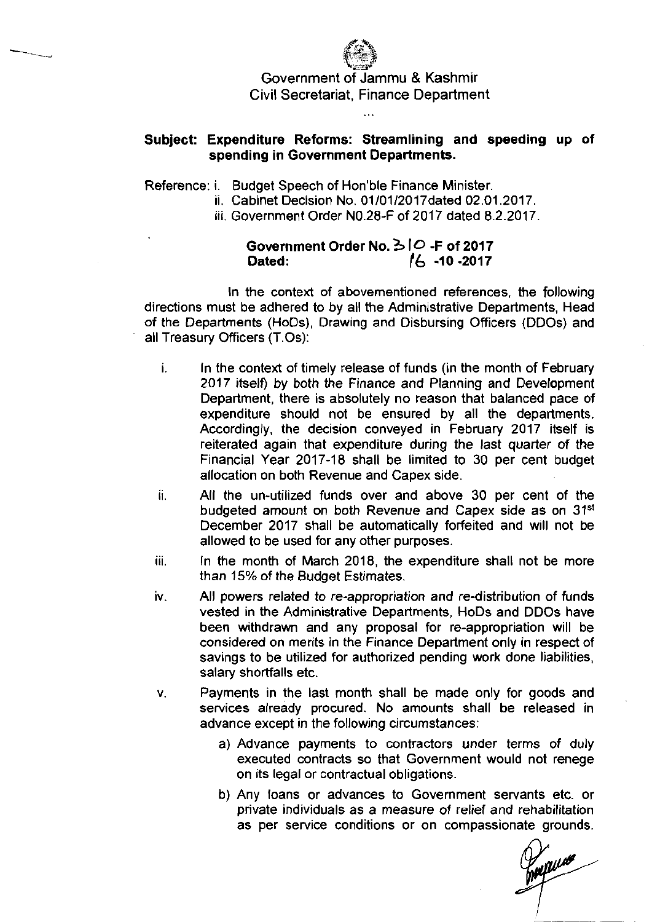

## **Subject: Expenditure Reforms: Streamlining and speeding up of spending in Government Departments.**

...

Reference: i. Budget Speech of Hon'ble Finance Minister.

- ii. Cabinet Decision No. 01/01/2017 dated 02.01.2017.
- iii. Government Order N0.28-F of 2017 dated 8.2.2017.

## **Government Order** No. *3* **10 -F of 201 7 Dated:** *16* **-10 -201 7**

In the context of abovementioned references, the following directions must be adhered to by all the Administrative Departments, Head of the Departments (HODS), Drawing and Disbursing Officers (DDOs) and all Treasury Officers (T.Os):

- **I.** In the context of timely release of funds (in the month of February 2017 itself) by both the Finance and Planning and Development Department, there is absolutely no reason that balanced pace of expenditure should not be ensured by all the departments. Accordingly, the decision conveyed in February 2017 itself is reiterated again that expenditure during the last quarter of the Financial Year 2017-18 shall be limited to 30 per cent budget allocation on both Revenue and Capex side.
- ii. All the un-utilized funds over and above 30 per cent of the budgeted amount on both Revenue and Capex side as on 3Ist December 2017 shall be automaticallv forfeited and will not be allowed to be used for any other purposes
- iii. In the month of March 2018, the expenditure shall not be more than 15% of the Budget Estimates.
- iv. All powers related to re-appropriation and re-distribution of funds vested in the Administrative Departments, HoDs and DDOs have been withdrawn and any proposal for re-appropriation will be considered on merits in the Finance Department only in respect of savings to be utilized for authorized pending work done liabilities, salary shortfalls etc.
- v. Payments in the last month shall be made only for goods and services already procured. No amounts shall be released in advance except in the following circumstances:
	- a) Advance payments to contractors under terms of duly executed contracts so that Government would not renege on its legal or contractual obligations.
	- b) Any loans or advances to Government servants etc. or private individuals as a measure of relief and rehabilitation as per service conditions or on compassionate grounds.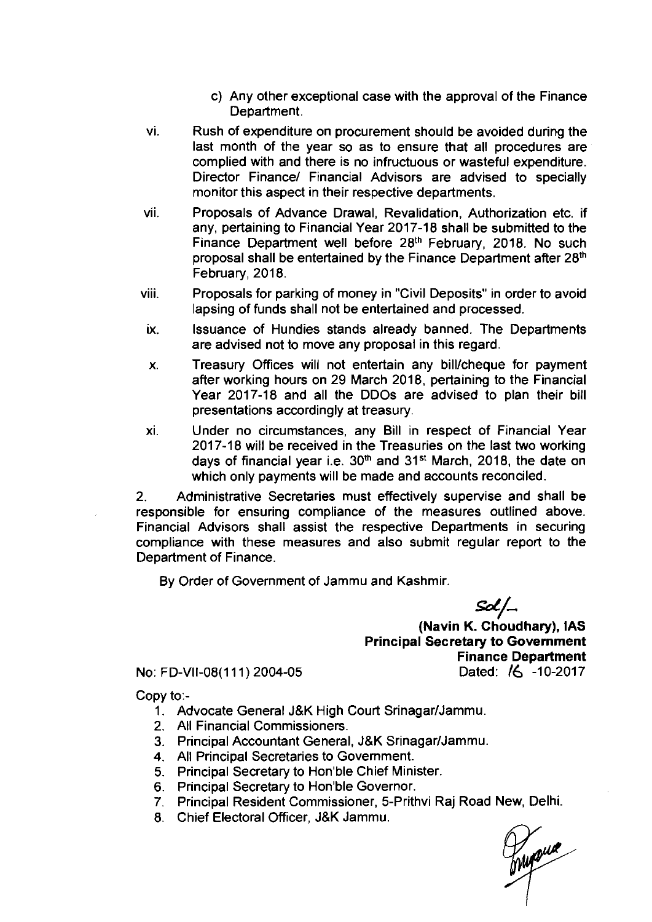- c) Any other exceptional case with the approval of the Finance Department.
- vi. Rush of expenditure on procurement should be avoided during the last month of the year so as to ensure that all procedures are complied with and there is no infructuous or wasteful expenditure. Director Finance/ Financial Advisors are advised to specially monitor this aspect in their respective departments.
- vii. Proposals of Advance Drawal, Revalidation, Authorization etc. if any, pertaining to Financial Year 2017-18 shall be submitted to the Finance Department well before 28<sup>th</sup> February, 2018. No such proposal shall be entertained by the Finance Department after 28<sup>th</sup> February, 2018.
- viii. Proposals for parking of money in "Civil Deposits" in order to avoid lapsing of funds shall not be entertained and processed.
- ix. Issuance of Hundies stands already banned. The Departments are advised not to move any proposal in this regard.
- x. Treasury Offices will not entertain any bill/cheque for payment after working hours on 29 March 2018, pertaining to the Financial Year 2017-18 and all the DDOs are advised to plan their bill presentations accordingly at treasury.
- xi. Under no circumstances, any Bill in respect of Financial Year 2017-18 will be received in the Treasuries on the last two working days of financial year i.e. 30<sup>th</sup> and 31<sup>st</sup> March, 2018, the date on which only payments will be made and accounts reconciled.

2. Administrative Secretaries must effectively supervise and shall be responsible for ensuring compliance of the measures outlined above. Financial Advisors shall assist the respective Departments in securing compliance with these measures and also submit regular report to the Department of Finance.

By Order of Government of Jammu and Kashmir.

 $Sol\_$ 

(Navin K. Choudhary), IAS Principal Secretary to Government Finance Department No: FD-VII-08(111) 2004-05 Dated: **16** -10-2017

Copy t0:-

- 1. Advocate General J&K High Court Srinagar/Jammu.
- 2. All Financial Commissioners.
- 3. Principal Accountant General, JBK SrinagarlJammu.
- 4. All Principal Secretaries to Government.
- 5. Principal Secretary to Hon'ble Chief Minister.
- 6. Principal Secretary to Hon'ble Governor.
- 7. Principal Resident Commissioner, 5-Prithvi Raj Road New, Delhi.
- 8. Chief Electoral Officer, J&K Jammu.

Thysus